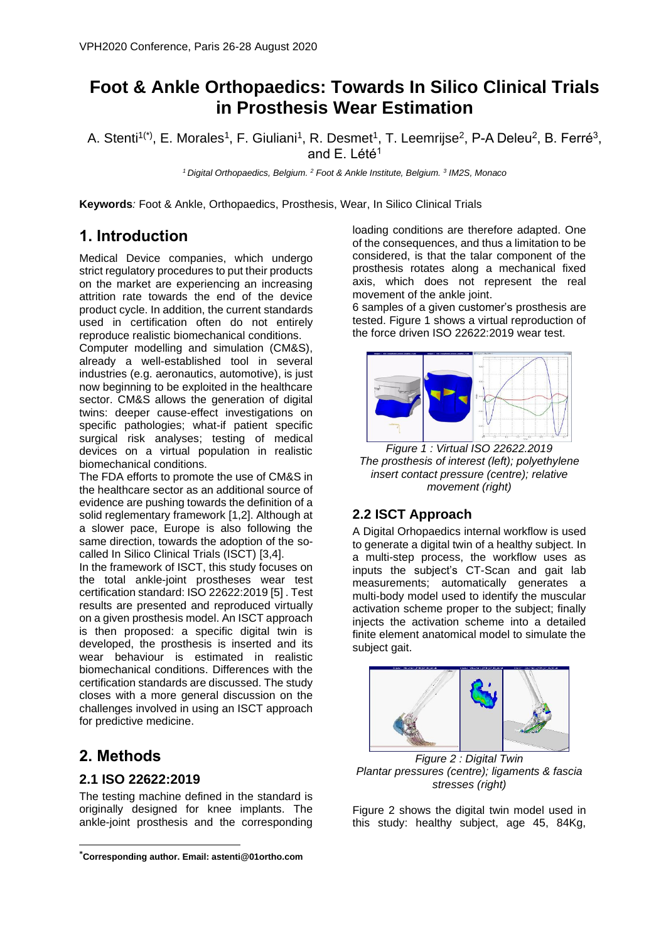# **Foot & Ankle Orthopaedics: Towards In Silico Clinical Trials in Prosthesis Wear Estimation**

A. Stenti<sup>1(\*)</sup>, E. Morales<sup>1</sup>, F. Giuliani<sup>1</sup>, R. Desmet<sup>1</sup>, T. Leemrijse<sup>2</sup>, P-A Deleu<sup>2</sup>, B. Ferré<sup>3</sup>, and  $E$ . Lété<sup>1</sup>

*<sup>1</sup>Digital Orthopaedics, Belgium. <sup>2</sup> Foot & Ankle Institute, Belgium. <sup>3</sup> IM2S, Monaco*

**Keywords***:* Foot & Ankle, Orthopaedics, Prosthesis, Wear, In Silico Clinical Trials

### **1. Introduction**

Medical Device companies, which undergo strict regulatory procedures to put their products on the market are experiencing an increasing attrition rate towards the end of the device product cycle. In addition, the current standards used in certification often do not entirely reproduce realistic biomechanical conditions.

Computer modelling and simulation (CM&S), already a well-established tool in several industries (e.g. aeronautics, automotive), is just now beginning to be exploited in the healthcare sector. CM&S allows the generation of digital twins: deeper cause-effect investigations on specific pathologies; what-if patient specific surgical risk analyses; testing of medical devices on a virtual population in realistic biomechanical conditions.

The FDA efforts to promote the use of CM&S in the healthcare sector as an additional source of evidence are pushing towards the definition of a solid reglementary framework [1,2]. Although at a slower pace, Europe is also following the same direction, towards the adoption of the socalled In Silico Clinical Trials (ISCT) [3,4].

In the framework of ISCT, this study focuses on the total ankle-joint prostheses wear test certification standard: ISO 22622:2019 [5] . Test results are presented and reproduced virtually on a given prosthesis model. An ISCT approach is then proposed: a specific digital twin is developed, the prosthesis is inserted and its wear behaviour is estimated in realistic biomechanical conditions. Differences with the certification standards are discussed. The study closes with a more general discussion on the challenges involved in using an ISCT approach for predictive medicine.

### **2. Methods**

#### **2.1 ISO 22622:2019**

The testing machine defined in the standard is originally designed for knee implants. The ankle-joint prosthesis and the corresponding

loading conditions are therefore adapted. One of the consequences, and thus a limitation to be considered, is that the talar component of the prosthesis rotates along a mechanical fixed axis, which does not represent the real movement of the ankle joint.

6 samples of a given customer's prosthesis are tested. Figure 1 shows a virtual reproduction of the force driven ISO 22622:2019 wear test.



*Figure 1 : Virtual ISO 22622.2019 The prosthesis of interest (left); polyethylene insert contact pressure (centre); relative movement (right)*

#### **2.2 ISCT Approach**

A Digital Orhopaedics internal workflow is used to generate a digital twin of a healthy subject. In a multi-step process, the workflow uses as inputs the subject's CT-Scan and gait lab measurements; automatically generates a multi-body model used to identify the muscular activation scheme proper to the subject; finally injects the activation scheme into a detailed finite element anatomical model to simulate the subject gait.



*Figure 2 : Digital Twin Plantar pressures (centre); ligaments & fascia stresses (right)*

Figure 2 shows the digital twin model used in this study: healthy subject, age 45, 84Kg,

**<sup>\*</sup>Corresponding author. Email: astenti@01ortho.com**